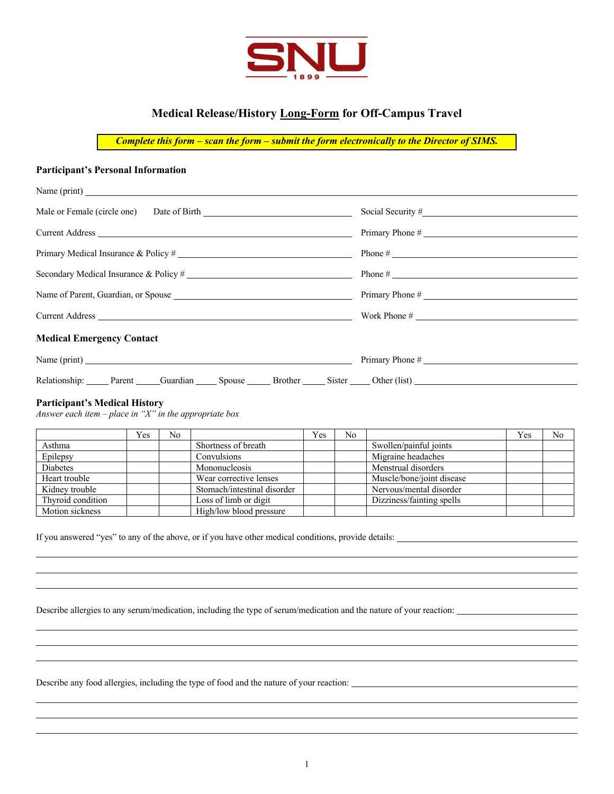

## **Medical Release/History Long-Form for Off-Campus Travel**

*Complete this form – scan the form – submit the form electronically to the Director of SIMS.*

## **Participant's Personal Information**

|                                                                  | Primary Phone # |
|------------------------------------------------------------------|-----------------|
|                                                                  |                 |
| Secondary Medical Insurance & Policy #                           |                 |
|                                                                  | Primary Phone # |
|                                                                  |                 |
| <b>Medical Emergency Contact</b>                                 |                 |
| Name (print) $\frac{1}{2}$ Primary Phone #                       |                 |
| Relationship: Parent Guardian Spouse Brother Sister Other (list) |                 |

## **Participant's Medical History**

*Answer each item – place in "X" in the appropriate box* 

|                   | Yes | No |                             | Yes | No |                           | Yes | No |
|-------------------|-----|----|-----------------------------|-----|----|---------------------------|-----|----|
| Asthma            |     |    | Shortness of breath         |     |    | Swollen/painful joints    |     |    |
| Epilepsy          |     |    | Convulsions                 |     |    | Migraine headaches        |     |    |
| Diabetes          |     |    | Mononucleosis               |     |    | Menstrual disorders       |     |    |
| Heart trouble     |     |    | Wear corrective lenses      |     |    | Muscle/bone/joint disease |     |    |
| Kidney trouble    |     |    | Stomach/intestinal disorder |     |    | Nervous/mental disorder   |     |    |
| Thyroid condition |     |    | Loss of limb or digit       |     |    | Dizziness/fainting spells |     |    |
| Motion sickness   |     |    | High/low blood pressure     |     |    |                           |     |    |

If you answered "yes" to any of the above, or if you have other medical conditions, provide details:

Describe allergies to any serum/medication, including the type of serum/medication and the nature of your reaction:

Describe any food allergies, including the type of food and the nature of your reaction: